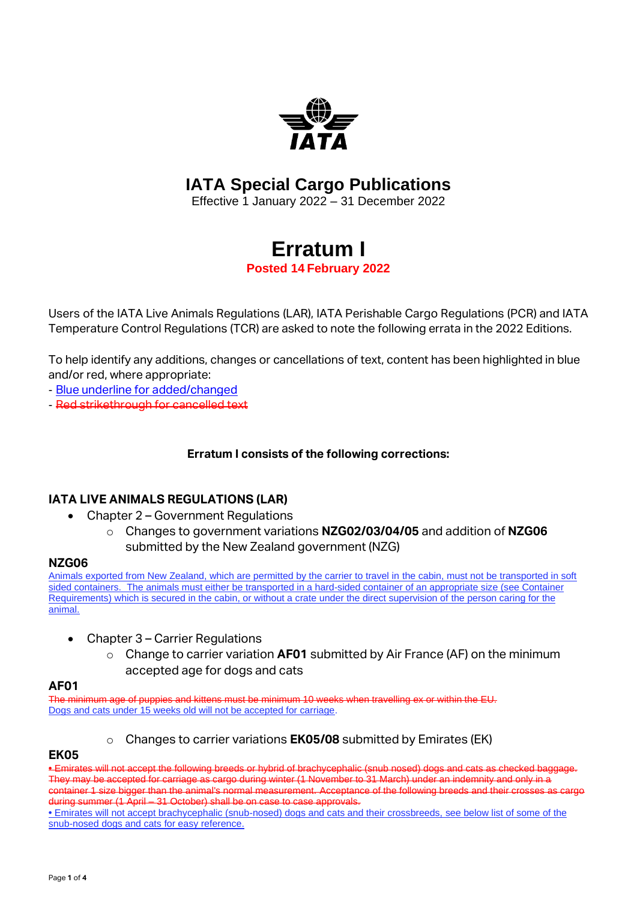

## **IATA Special Cargo Publications**

Effective 1 January 2022 – 31 December 2022

# **Erratum I**

**Posted 14 February 2022**

Users of the IATA Live Animals Regulations (LAR), IATA Perishable Cargo Regulations (PCR) and IATA Temperature Control Regulations (TCR) are asked to note the following errata in the 2022 Editions.

To help identify any additions, changes or cancellations of text, content has been highlighted in blue and/or red, where appropriate:

- Blue underline for added/changed
- Red strikethrough for cancelled text

#### **Erratum I consists of the following corrections:**

#### **IATA LIVE ANIMALS REGULATIONS (LAR)**

- Chapter 2 Government Regulations
	- o Changes to government variations **NZG02/03/04/05** and addition of **NZG06**  submitted by the New Zealand government (NZG)

#### **NZG06**

Animals exported from New Zealand, which are permitted by the carrier to travel in the cabin, must not be transported in soft sided containers. The animals must either be transported in a hard-sided container of an appropriate size (see Container Requirements) which is secured in the cabin, or without a crate under the direct supervision of the person caring for the animal.

- Chapter 3 Carrier Regulations
	- o Change to carrier variation **AF01** submitted by Air France (AF) on the minimum accepted age for dogs and cats

#### **AF01**

The minimum age of puppies and kittens must be minimum 10 weeks when travelling ex or within the EU. Dogs and cats under 15 weeks old will not be accepted for carriage.

Changes to carrier variations **EK05/08** submitted by Emirates (EK)

#### **EK05**

**•** Emirates will not accept the following breeds or hybrid of brachycephalic (snub nosed) dogs and cats as checked baggage. They may be accepted for carriage as cargo during winter (1 November to 31 March) under an indemnity and only in a container 1 size bigger than the animal's normal measurement. Acceptance of the following breeds and their crosses as cargo during summer (1 April – 31 October) shall be on case to case approvals.

**•** Emirates will not accept brachycephalic (snub-nosed) dogs and cats and their crossbreeds, see below list of some of the snub-nosed dogs and cats for easy reference.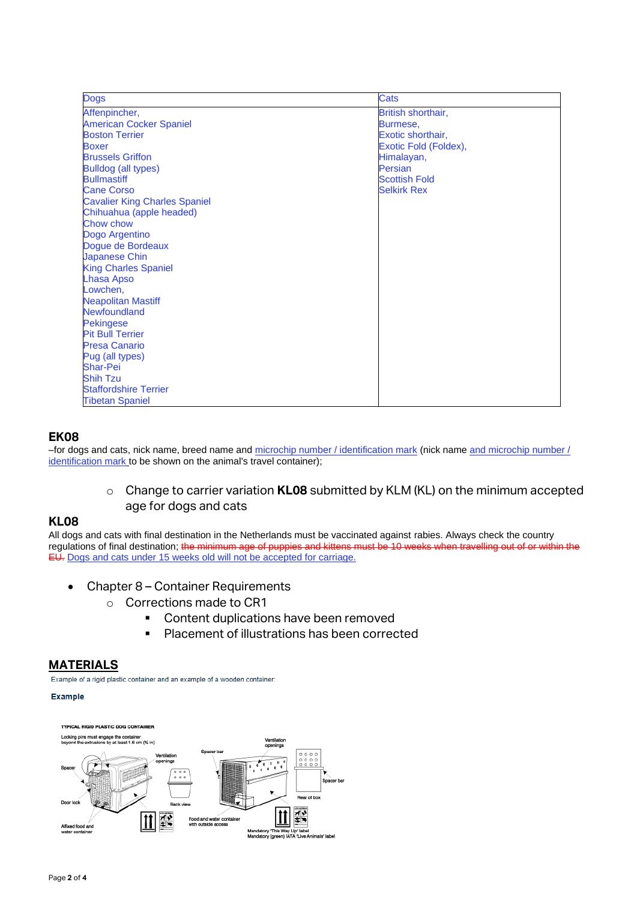| <b>Dogs</b>                          | Cats                  |
|--------------------------------------|-----------------------|
| Affenpincher,                        | British shorthair,    |
| <b>American Cocker Spaniel</b>       | Burmese.              |
| <b>Boston Terrier</b>                | Exotic shorthair,     |
| <b>Boxer</b>                         | Exotic Fold (Foldex), |
| <b>Brussels Griffon</b>              | Himalayan,            |
| <b>Bulldog (all types)</b>           | Persian               |
| <b>Bullmastiff</b>                   | <b>Scottish Fold</b>  |
| <b>Cane Corso</b>                    | <b>Selkirk Rex</b>    |
| <b>Cavalier King Charles Spaniel</b> |                       |
| Chihuahua (apple headed)             |                       |
| Chow chow                            |                       |
| Dogo Argentino                       |                       |
| Dogue de Bordeaux                    |                       |
| <b>Japanese Chin</b>                 |                       |
| <b>King Charles Spaniel</b>          |                       |
| <b>Lhasa Apso</b>                    |                       |
| Lowchen,                             |                       |
| <b>Neapolitan Mastiff</b>            |                       |
| Newfoundland                         |                       |
| <b>Pekingese</b>                     |                       |
| <b>Pit Bull Terrier</b>              |                       |
| <b>Presa Canario</b>                 |                       |
| Pug (all types)                      |                       |
| <b>Shar-Pei</b>                      |                       |
| <b>Shih Tzu</b>                      |                       |
| <b>Staffordshire Terrier</b>         |                       |
| <b>Tibetan Spaniel</b>               |                       |

#### **EK08**

–for dogs and cats, nick name, breed name and microchip number / identification mark (nick name and microchip number / identification mark to be shown on the animal's travel container);

#### o Change to carrier variation **KL08** submitted by KLM (KL) on the minimum accepted age for dogs and cats

#### **KL08**

All dogs and cats with final destination in the Netherlands must be vaccinated against rabies. Always check the country regulations of final destination; the minimum age of puppies and kittens must be 10 weeks when travelling out of or within the EU. Dogs and cats under 15 weeks old will not be accepted for carriage.

- Chapter 8 Container Requirements
	- o Corrections made to CR1
		- Content duplications have been removed
		- Placement of illustrations has been corrected

#### **MATERIALS**

Example of a rigid plastic container and an example of a wooden container:

#### **Example**

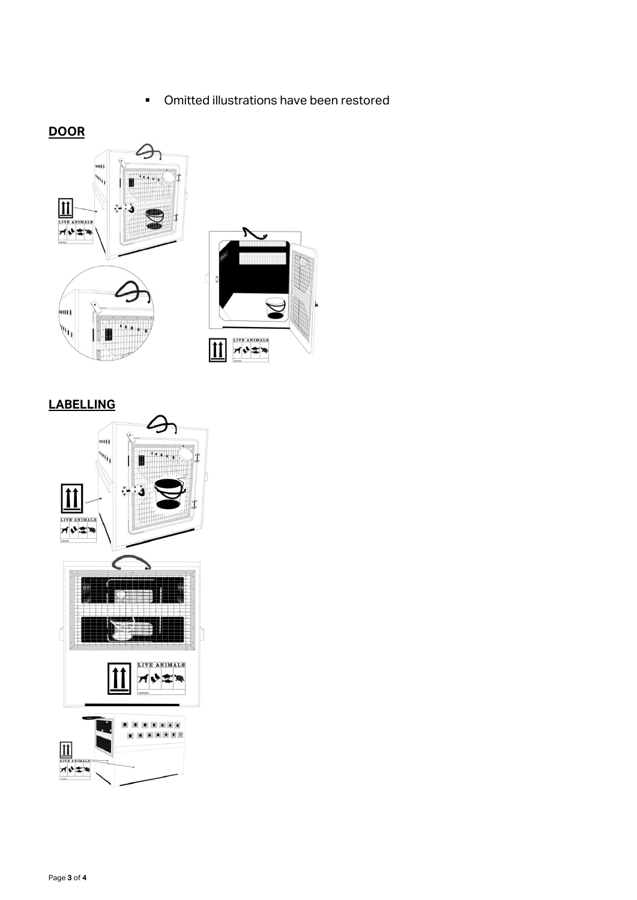■ Omitted illustrations have been restored

## **DOOR**



## **LABELLING**